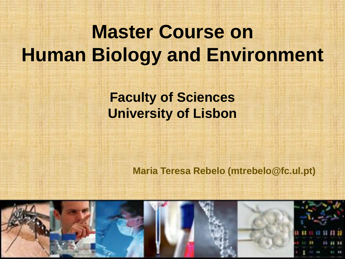# **Master Course on Human Biology and Environment**

# **Faculty of Sciences University of Lisbon**

**Maria Teresa Rebelo (mtrebelo@fc.ul.pt)**

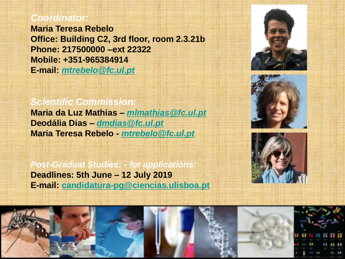#### *Coordinator:*

**Maria Teresa Rebelo Office: Building C2, 3rd floor, room 2.3.21b Phone: 217500000 –ext 22322 Mobile: +351-965384914 E-mail:** *[mtrebelo@fc.ul.pt](mailto:mtrebelo@fc.ul.pt)*

#### *Scientific Commission:*

**Maria da Luz Mathias –** *[mlmathias@fc.ul.pt](mailto:mlmathias@fc.ul.pt)* **Deodália Dias –** *[dmdias@fc.ul.pt](mailto:dmdias@fc.ul.pt)* **Maria Teresa Rebelo -** *[mtrebelo@fc.ul.pt](mailto:mtrebelo@fc.ul.pt)*

*Post-Graduat Studies: - for applications:* **Deadlines: 5th June – 12 July 2019 E-mail: [candidatura-pg@ciencias.ulisboa.pt](mailto:candidatura-pg@ciencias.ulisboa.pt)**







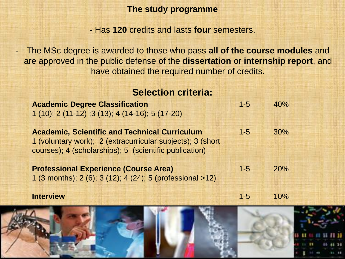#### **The study programme**

- Has **120** credits and lasts **four** semesters.

- The MSc degree is awarded to those who pass **all of the course modules** and are approved in the public defense of the **dissertation** or **internship report**, and have obtained the required number of credits.

#### **Selection criteria:**

| <b>Academic Degree Classification</b><br>$1(10); 2(11-12); 3(13); 4(14-16); 5(17-20)$                                                                                        | $1 - 5$ | 40% |  |
|------------------------------------------------------------------------------------------------------------------------------------------------------------------------------|---------|-----|--|
| <b>Academic, Scientific and Technical Curriculum</b><br>1 (voluntary work); 2 (extracurricular subjects); 3 (short<br>courses); 4 (scholarships); 5 (scientific publication) | $1 - 5$ | 30% |  |
| <b>Professional Experience (Course Area)</b><br>1 (3 months); 2 (6); 3 (12); 4 (24); 5 (professional >12)                                                                    | $1 - 5$ | 20% |  |

**Interview** 1-5 10%

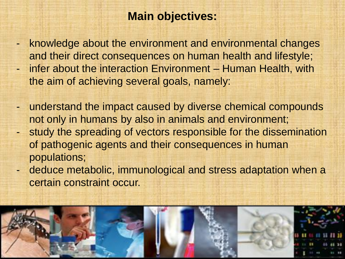# **Main objectives:**

- knowledge about the environment and environmental changes and their direct consequences on human health and lifestyle;
- infer about the interaction Environment Human Health, with the aim of achieving several goals, namely:
- understand the impact caused by diverse chemical compounds not only in humans by also in animals and environment;
- study the spreading of vectors responsible for the dissemination of pathogenic agents and their consequences in human populations;
- deduce metabolic, immunological and stress adaptation when a certain constraint occur.

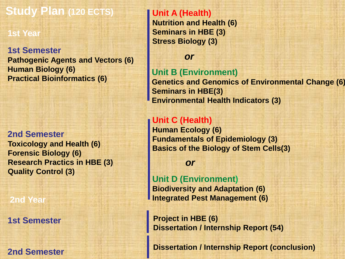# **Study Plan (120 ECTS)**

#### **1st Year**

**1st Semester Pathogenic Agents and Vectors (6) Human Biology (6) Practical Bioinformatics (6)**

#### **2nd Semester**

**Toxicology and Health (6) Forensic Biology (6) Research Practics in HBE (3) Quality Control (3)**

**2nd Year**

**1st Semester**

**2nd Semester**

**Unit A (Health) Nutrition and Health (6) Seminars in HBE (3) Stress Biology (3)**

*or*

#### **Unit B (Environment)**

**Genetics and Genomics of Environmental Change (6) Seminars in HBE(3) Environmental Health Indicators (3)**

**Unit C (Health) Human Ecology (6) Fundamentals of Epidemiology (3) Basics of the Biology of Stem Cells(3)**

*or*

**Unit D (Environment) Biodiversity and Adaptation (6) Integrated Pest Management (6)**

**Project in HBE (6) Dissertation / Internship Report (54)**

**Dissertation / Internship Report (conclusion)**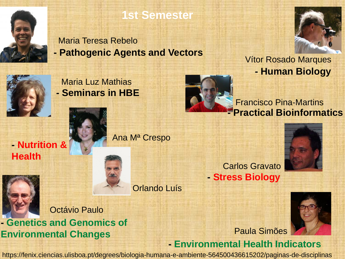

### **1st Semester**

**- Pathogenic Agents and Vectors** Maria Teresa Rebelo



*-* **Seminars in HBE** Maria Luz Mathias





**- Human Biology** Vítor Rosado Marques

**- Practical Bioinformatics** Francisco Pina-Martins

**- Nutrition &** 



Ana Mª Crespo

**Health**



Octávio Paulo

**- Genetics and Genomics of Environmental Changes**

**- Stress Biology** Carlos Gravato



Orlando Luís



Paula Simões

**- Environmental Health Indicators**

https://fenix.ciencias.ulisboa.pt/degrees/biologia-humana-e-ambiente-564500436615202/paginas-de-disciplinas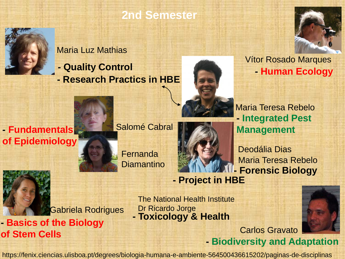# **2nd Semester**



#### Maria Luz Mathias

**- Research Practics in HBE** *-* **Quality Control**



**- Fundamentals of Epidemiology**

Salomé Cabral

**Fernanda** 



**- Human Ecology** Vítor Rosado Marques

**- Integrated Pest Management** Maria Teresa Rebelo

**- Forensic Biology** Diamantino Maria Teresa Rebelo Deodália Dias

Gabriela Rodrigues

**- Basics of the Biology of Stem Cells**

**- Toxicology & Health** The National Health Institute Dr Ricardo Jorge



Carlos Gravato

**- Biodiversity and Adaptation**

https://fenix.ciencias.ulisboa.pt/degrees/biologia-humana-e-ambiente-564500436615202/paginas-de-disciplinas

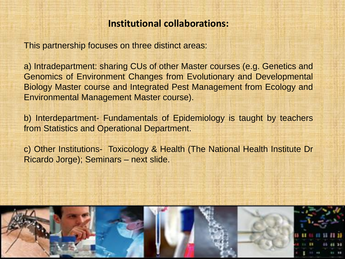#### **Institutional collaborations:**

This partnership focuses on three distinct areas:

a) Intradepartment: sharing CUs of other Master courses (e.g. Genetics and Genomics of Environment Changes from Evolutionary and Developmental Biology Master course and Integrated Pest Management from Ecology and Environmental Management Master course).

b) Interdepartment- Fundamentals of Epidemiology is taught by teachers from Statistics and Operational Department.

c) Other Institutions- Toxicology & Health (The National Health Institute Dr Ricardo Jorge); Seminars – next slide.

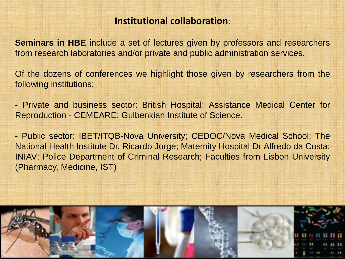#### **Institutional collaboration**:

**Seminars in HBE** include a set of lectures given by professors and researchers from research laboratories and/or private and public administration services.

Of the dozens of conferences we highlight those given by researchers from the following institutions:

- Private and business sector: British Hospital; Assistance Medical Center for Reproduction - CEMEARE; Gulbenkian Institute of Science.

- Public sector: IBET/ITQB-Nova University; CEDOC/Nova Medical School; The National Health Institute Dr. Ricardo Jorge; Maternity Hospital Dr Alfredo da Costa; INIAV; Police Department of Criminal Research; Faculties from Lisbon University (Pharmacy, Medicine, IST)

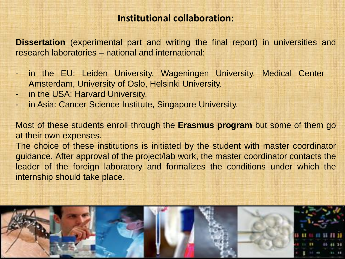#### **Institutional collaboration:**

**Dissertation** (experimental part and writing the final report) in universities and research laboratories – national and international:

- in the EU: Leiden University, Wageningen University, Medical Center Amsterdam, University of Oslo, Helsinki University.
- in the USA: Harvard University.
- in Asia: Cancer Science Institute, Singapore University.

Most of these students enroll through the **Erasmus program** but some of them go at their own expenses.

The choice of these institutions is initiated by the student with master coordinator guidance. After approval of the project/lab work, the master coordinator contacts the leader of the foreign laboratory and formalizes the conditions under which the internship should take place.

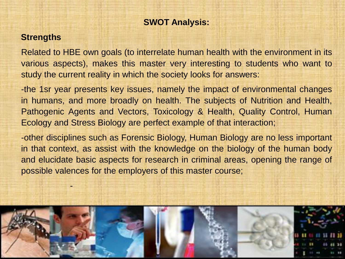#### **Strengths**

-

Related to HBE own goals (to interrelate human health with the environment in its various aspects), makes this master very interesting to students who want to study the current reality in which the society looks for answers:

-the 1sr year presents key issues, namely the impact of environmental changes in humans, and more broadly on health. The subjects of Nutrition and Health, Pathogenic Agents and Vectors, Toxicology & Health, Quality Control, Human Ecology and Stress Biology are perfect example of that interaction;

-other disciplines such as Forensic Biology, Human Biology are no less important in that context, as assist with the knowledge on the biology of the human body and elucidate basic aspects for research in criminal areas, opening the range of possible valences for the employers of this master course;

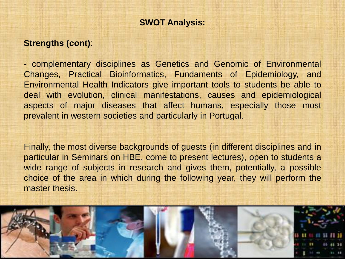#### **Strengths (cont)**:

- complementary disciplines as Genetics and Genomic of Environmental Changes, Practical Bioinformatics, Fundaments of Epidemiology, and Environmental Health Indicators give important tools to students be able to deal with evolution, clinical manifestations, causes and epidemiological aspects of major diseases that affect humans, especially those most prevalent in western societies and particularly in Portugal.

Finally, the most diverse backgrounds of guests (in different disciplines and in particular in Seminars on HBE, come to present lectures), open to students a wide range of subjects in research and gives them, potentially, a possible choice of the area in which during the following year, they will perform the master thesis.

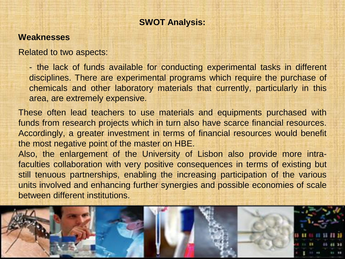#### **Weaknesses**

Related to two aspects:

- the lack of funds available for conducting experimental tasks in different disciplines. There are experimental programs which require the purchase of chemicals and other laboratory materials that currently, particularly in this area, are extremely expensive.

These often lead teachers to use materials and equipments purchased with funds from research projects which in turn also have scarce financial resources. Accordingly, a greater investment in terms of financial resources would benefit the most negative point of the master on HBE.

Also, the enlargement of the University of Lisbon also provide more intrafaculties collaboration with very positive consequences in terms of existing but still tenuous partnerships, enabling the increasing participation of the various units involved and enhancing further synergies and possible economies of scale between different institutions.

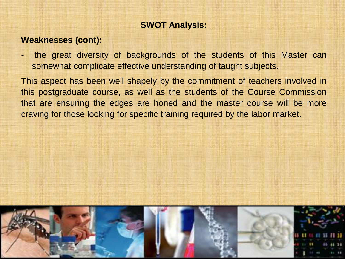#### **Weaknesses (cont):**

the great diversity of backgrounds of the students of this Master can somewhat complicate effective understanding of taught subjects.

This aspect has been well shapely by the commitment of teachers involved in this postgraduate course, as well as the students of the Course Commission that are ensuring the edges are honed and the master course will be more craving for those looking for specific training required by the labor market.

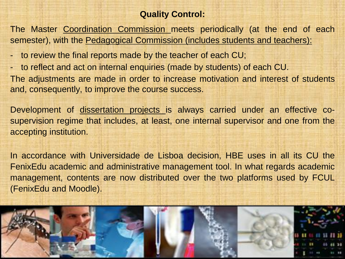#### **Quality Control:**

The Master Coordination Commission meets periodically (at the end of each semester), with the Pedagogical Commission (includes students and teachers):

- to review the final reports made by the teacher of each CU;
- to reflect and act on internal enquiries (made by students) of each CU. The adjustments are made in order to increase motivation and interest of students and, consequently, to improve the course success.

Development of dissertation projects is always carried under an effective cosupervision regime that includes, at least, one internal supervisor and one from the accepting institution.

In accordance with Universidade de Lisboa decision, HBE uses in all its CU the FenixEdu academic and administrative management tool. In what regards academic management, contents are now distributed over the two platforms used by FCUL (FenixEdu and Moodle).

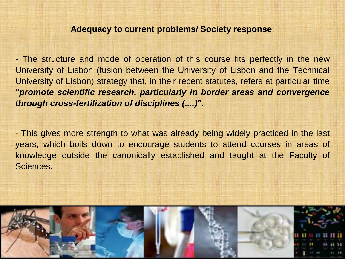#### **Adequacy to current problems/ Society response**:

- The structure and mode of operation of this course fits perfectly in the new University of Lisbon (fusion between the University of Lisbon and the Technical University of Lisbon) strategy that, in their recent statutes, refers at particular time *"promote scientific research, particularly in border areas and convergence through cross-fertilization of disciplines (....)"*.

- This gives more strength to what was already being widely practiced in the last years, which boils down to encourage students to attend courses in areas of knowledge outside the canonically established and taught at the Faculty of Sciences.

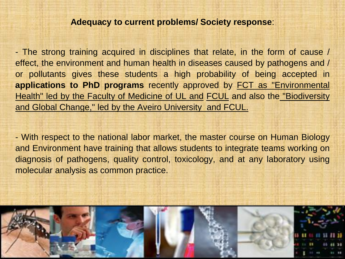#### **Adequacy to current problems/ Society response**:

- The strong training acquired in disciplines that relate, in the form of cause / effect, the environment and human health in diseases caused by pathogens and / or pollutants gives these students a high probability of being accepted in **applications to PhD programs** recently approved by FCT as "Environmental Health" led by the Faculty of Medicine of UL and FCUL and also the "Biodiversity" and Global Change," led by the Aveiro University and FCUL.

- With respect to the national labor market, the master course on Human Biology and Environment have training that allows students to integrate teams working on diagnosis of pathogens, quality control, toxicology, and at any laboratory using molecular analysis as common practice.

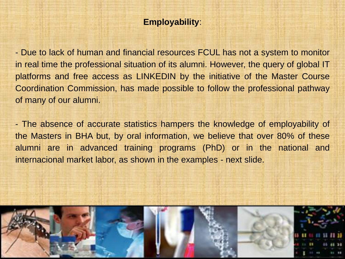#### **Employability**:

- Due to lack of human and financial resources FCUL has not a system to monitor in real time the professional situation of its alumni. However, the query of global IT platforms and free access as LINKEDIN by the initiative of the Master Course Coordination Commission, has made possible to follow the professional pathway of many of our alumni.

- The absence of accurate statistics hampers the knowledge of employability of the Masters in BHA but, by oral information, we believe that over 80% of these alumni are in advanced training programs (PhD) or in the national and internacional market labor, as shown in the examples - next slide.

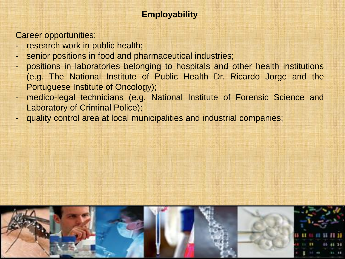#### **Employability**

Career opportunities:

- research work in public health;
- senior positions in food and pharmaceutical industries;
- positions in laboratories belonging to hospitals and other health institutions (e.g. The National Institute of Public Health Dr. Ricardo Jorge and the Portuguese Institute of Oncology);
- medico-legal technicians (e.g. National Institute of Forensic Science and Laboratory of Criminal Police);
- quality control area at local municipalities and industrial companies;

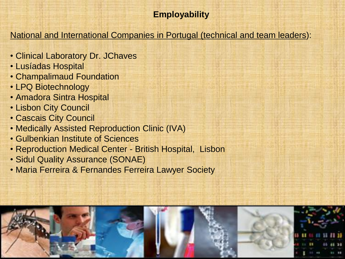#### **Employability**

#### National and International Companies in Portugal (technical and team leaders):

- Clinical Laboratory Dr. JChaves
- Lusíadas Hospital
- Champalimaud Foundation
- LPQ Biotechnology
- Amadora Sintra Hospital
- Lisbon City Council
- Cascais City Council
- Medically Assisted Reproduction Clinic (IVA)
- Gulbenkian Institute of Sciences
- Reproduction Medical Center British Hospital, Lisbon
- Sidul Quality Assurance (SONAE)
- Maria Ferreira & Fernandes Ferreira Lawyer Society

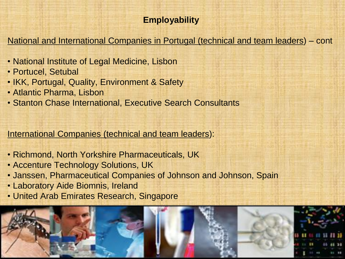#### **Employability**

#### National and International Companies in Portugal (technical and team leaders) – cont

- National Institute of Legal Medicine, Lisbon
- Portucel, Setubal
- IKK, Portugal, Quality, Environment & Safety
- Atlantic Pharma, Lisbon
- Stanton Chase International, Executive Search Consultants

#### International Companies (technical and team leaders):

- Richmond, North Yorkshire Pharmaceuticals, UK
- Accenture Technology Solutions, UK
- Janssen, Pharmaceutical Companies of Johnson and Johnson, Spain
- Laboratory Aide Biomnis, Ireland
- United Arab Emirates Research, Singapore

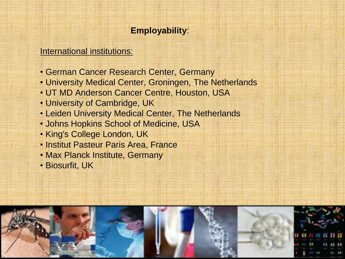#### **Employability**:

#### International institutions:

- German Cancer Research Center, Germany
- University Medical Center, Groningen, The Netherlands
- UT MD Anderson Cancer Centre, Houston, USA
- University of Cambridge, UK
- Leiden University Medical Center, The Netherlands
- Johns Hopkins School of Medicine, USA
- King's College London, UK
- Institut Pasteur Paris Area, France
- Max Planck Institute, Germany
- Biosurfit, UK